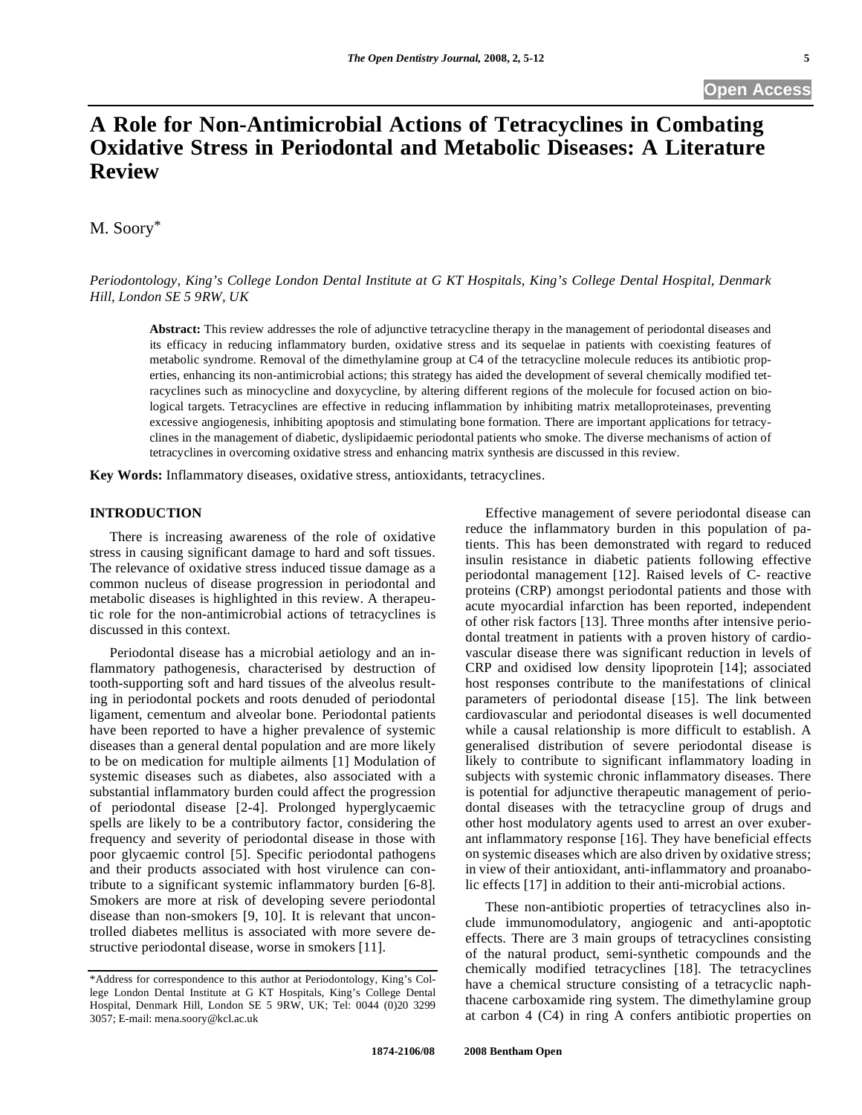# **A Role for Non-Antimicrobial Actions of Tetracyclines in Combating Oxidative Stress in Periodontal and Metabolic Diseases: A Literature Review**

M. Soory\*

*Periodontology, King's College London Dental Institute at G KT Hospitals, King's College Dental Hospital, Denmark Hill, London SE 5 9RW, UK* 

**Abstract:** This review addresses the role of adjunctive tetracycline therapy in the management of periodontal diseases and its efficacy in reducing inflammatory burden, oxidative stress and its sequelae in patients with coexisting features of metabolic syndrome. Removal of the dimethylamine group at C4 of the tetracycline molecule reduces its antibiotic properties, enhancing its non-antimicrobial actions; this strategy has aided the development of several chemically modified tetracyclines such as minocycline and doxycycline, by altering different regions of the molecule for focused action on biological targets. Tetracyclines are effective in reducing inflammation by inhibiting matrix metalloproteinases, preventing excessive angiogenesis, inhibiting apoptosis and stimulating bone formation. There are important applications for tetracyclines in the management of diabetic, dyslipidaemic periodontal patients who smoke. The diverse mechanisms of action of tetracyclines in overcoming oxidative stress and enhancing matrix synthesis are discussed in this review.

**Key Words:** Inflammatory diseases, oxidative stress, antioxidants, tetracyclines.

#### **INTRODUCTION**

 There is increasing awareness of the role of oxidative stress in causing significant damage to hard and soft tissues. The relevance of oxidative stress induced tissue damage as a common nucleus of disease progression in periodontal and metabolic diseases is highlighted in this review. A therapeutic role for the non-antimicrobial actions of tetracyclines is discussed in this context.

 Periodontal disease has a microbial aetiology and an inflammatory pathogenesis, characterised by destruction of tooth-supporting soft and hard tissues of the alveolus resulting in periodontal pockets and roots denuded of periodontal ligament, cementum and alveolar bone. Periodontal patients have been reported to have a higher prevalence of systemic diseases than a general dental population and are more likely to be on medication for multiple ailments [1] Modulation of systemic diseases such as diabetes, also associated with a substantial inflammatory burden could affect the progression of periodontal disease [2-4]. Prolonged hyperglycaemic spells are likely to be a contributory factor, considering the frequency and severity of periodontal disease in those with poor glycaemic control [5]. Specific periodontal pathogens and their products associated with host virulence can contribute to a significant systemic inflammatory burden [6-8]. Smokers are more at risk of developing severe periodontal disease than non-smokers [9, 10]. It is relevant that uncontrolled diabetes mellitus is associated with more severe destructive periodontal disease, worse in smokers [11].

 Effective management of severe periodontal disease can reduce the inflammatory burden in this population of patients. This has been demonstrated with regard to reduced insulin resistance in diabetic patients following effective periodontal management [12]. Raised levels of C- reactive proteins (CRP) amongst periodontal patients and those with acute myocardial infarction has been reported, independent of other risk factors [13]. Three months after intensive periodontal treatment in patients with a proven history of cardiovascular disease there was significant reduction in levels of CRP and oxidised low density lipoprotein [14]; associated host responses contribute to the manifestations of clinical parameters of periodontal disease [15]. The link between cardiovascular and periodontal diseases is well documented while a causal relationship is more difficult to establish. A generalised distribution of severe periodontal disease is likely to contribute to significant inflammatory loading in subjects with systemic chronic inflammatory diseases. There is potential for adjunctive therapeutic management of periodontal diseases with the tetracycline group of drugs and other host modulatory agents used to arrest an over exuberant inflammatory response [16]. They have beneficial effects on systemic diseases which are also driven by oxidative stress; in view of their antioxidant, anti-inflammatory and proanabolic effects [17] in addition to their anti-microbial actions.

 These non-antibiotic properties of tetracyclines also include immunomodulatory, angiogenic and anti-apoptotic effects. There are 3 main groups of tetracyclines consisting of the natural product, semi-synthetic compounds and the chemically modified tetracyclines [18]. The tetracyclines have a chemical structure consisting of a tetracyclic naphthacene carboxamide ring system. The dimethylamine group at carbon 4 (C4) in ring A confers antibiotic properties on

<sup>\*</sup>Address for correspondence to this author at Periodontology, King's College London Dental Institute at G KT Hospitals, King's College Dental Hospital, Denmark Hill, London SE 5 9RW, UK; Tel: 0044 (0)20 3299 3057; E-mail: mena.soory@kcl.ac.uk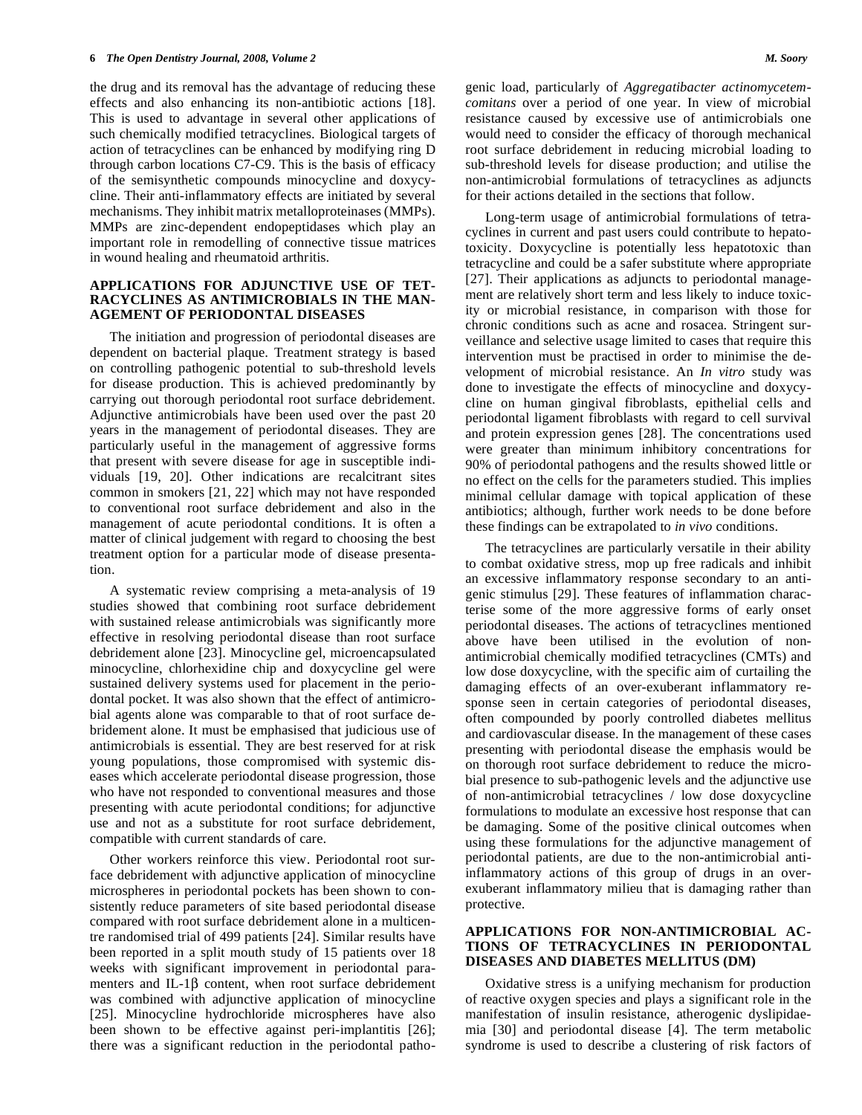the drug and its removal has the advantage of reducing these effects and also enhancing its non-antibiotic actions [18]. This is used to advantage in several other applications of such chemically modified tetracyclines. Biological targets of action of tetracyclines can be enhanced by modifying ring D through carbon locations C7-C9. This is the basis of efficacy of the semisynthetic compounds minocycline and doxycycline. Their anti-inflammatory effects are initiated by several mechanisms. They inhibit matrix metalloproteinases(MMPs). MMPs are zinc-dependent endopeptidases which play an important role in remodelling of connective tissue matrices in wound healing and rheumatoid arthritis.

### **APPLICATIONS FOR ADJUNCTIVE USE OF TET-RACYCLINES AS ANTIMICROBIALS IN THE MAN-AGEMENT OF PERIODONTAL DISEASES**

 The initiation and progression of periodontal diseases are dependent on bacterial plaque. Treatment strategy is based on controlling pathogenic potential to sub-threshold levels for disease production. This is achieved predominantly by carrying out thorough periodontal root surface debridement. Adjunctive antimicrobials have been used over the past 20 years in the management of periodontal diseases. They are particularly useful in the management of aggressive forms that present with severe disease for age in susceptible individuals [19, 20]. Other indications are recalcitrant sites common in smokers [21, 22] which may not have responded to conventional root surface debridement and also in the management of acute periodontal conditions. It is often a matter of clinical judgement with regard to choosing the best treatment option for a particular mode of disease presentation.

 A systematic review comprising a meta-analysis of 19 studies showed that combining root surface debridement with sustained release antimicrobials was significantly more effective in resolving periodontal disease than root surface debridement alone [23]. Minocycline gel, microencapsulated minocycline, chlorhexidine chip and doxycycline gel were sustained delivery systems used for placement in the periodontal pocket. It was also shown that the effect of antimicrobial agents alone was comparable to that of root surface debridement alone. It must be emphasised that judicious use of antimicrobials is essential. They are best reserved for at risk young populations, those compromised with systemic diseases which accelerate periodontal disease progression, those who have not responded to conventional measures and those presenting with acute periodontal conditions; for adjunctive use and not as a substitute for root surface debridement, compatible with current standards of care.

 Other workers reinforce this view. Periodontal root surface debridement with adjunctive application of minocycline microspheres in periodontal pockets has been shown to consistently reduce parameters of site based periodontal disease compared with root surface debridement alone in a multicentre randomised trial of 499 patients [24]. Similar results have been reported in a split mouth study of 15 patients over 18 weeks with significant improvement in periodontal paramenters and IL-1 $\beta$  content, when root surface debridement was combined with adjunctive application of minocycline [25]. Minocycline hydrochloride microspheres have also been shown to be effective against peri-implantitis [26]; there was a significant reduction in the periodontal pathogenic load, particularly of *Aggregatibacter actinomycetemcomitans* over a period of one year. In view of microbial resistance caused by excessive use of antimicrobials one would need to consider the efficacy of thorough mechanical root surface debridement in reducing microbial loading to sub-threshold levels for disease production; and utilise the non-antimicrobial formulations of tetracyclines as adjuncts for their actions detailed in the sections that follow.

 Long-term usage of antimicrobial formulations of tetracyclines in current and past users could contribute to hepatotoxicity. Doxycycline is potentially less hepatotoxic than tetracycline and could be a safer substitute where appropriate [27]. Their applications as adjuncts to periodontal management are relatively short term and less likely to induce toxicity or microbial resistance, in comparison with those for chronic conditions such as acne and rosacea. Stringent surveillance and selective usage limited to cases that require this intervention must be practised in order to minimise the development of microbial resistance. An *In vitro* study was done to investigate the effects of minocycline and doxycycline on human gingival fibroblasts, epithelial cells and periodontal ligament fibroblasts with regard to cell survival and protein expression genes [28]. The concentrations used were greater than minimum inhibitory concentrations for 90% of periodontal pathogens and the results showed little or no effect on the cells for the parameters studied. This implies minimal cellular damage with topical application of these antibiotics; although, further work needs to be done before these findings can be extrapolated to *in vivo* conditions.

 The tetracyclines are particularly versatile in their ability to combat oxidative stress, mop up free radicals and inhibit an excessive inflammatory response secondary to an antigenic stimulus [29]. These features of inflammation characterise some of the more aggressive forms of early onset periodontal diseases. The actions of tetracyclines mentioned above have been utilised in the evolution of nonantimicrobial chemically modified tetracyclines (CMTs) and low dose doxycycline, with the specific aim of curtailing the damaging effects of an over-exuberant inflammatory response seen in certain categories of periodontal diseases, often compounded by poorly controlled diabetes mellitus and cardiovascular disease. In the management of these cases presenting with periodontal disease the emphasis would be on thorough root surface debridement to reduce the microbial presence to sub-pathogenic levels and the adjunctive use of non-antimicrobial tetracyclines / low dose doxycycline formulations to modulate an excessive host response that can be damaging. Some of the positive clinical outcomes when using these formulations for the adjunctive management of periodontal patients, are due to the non-antimicrobial antiinflammatory actions of this group of drugs in an overexuberant inflammatory milieu that is damaging rather than protective.

#### **APPLICATIONS FOR NON-ANTIMICROBIAL AC-TIONS OF TETRACYCLINES IN PERIODONTAL DISEASES AND DIABETES MELLITUS (DM)**

 Oxidative stress is a unifying mechanism for production of reactive oxygen species and plays a significant role in the manifestation of insulin resistance, atherogenic dyslipidaemia [30] and periodontal disease [4]. The term metabolic syndrome is used to describe a clustering of risk factors of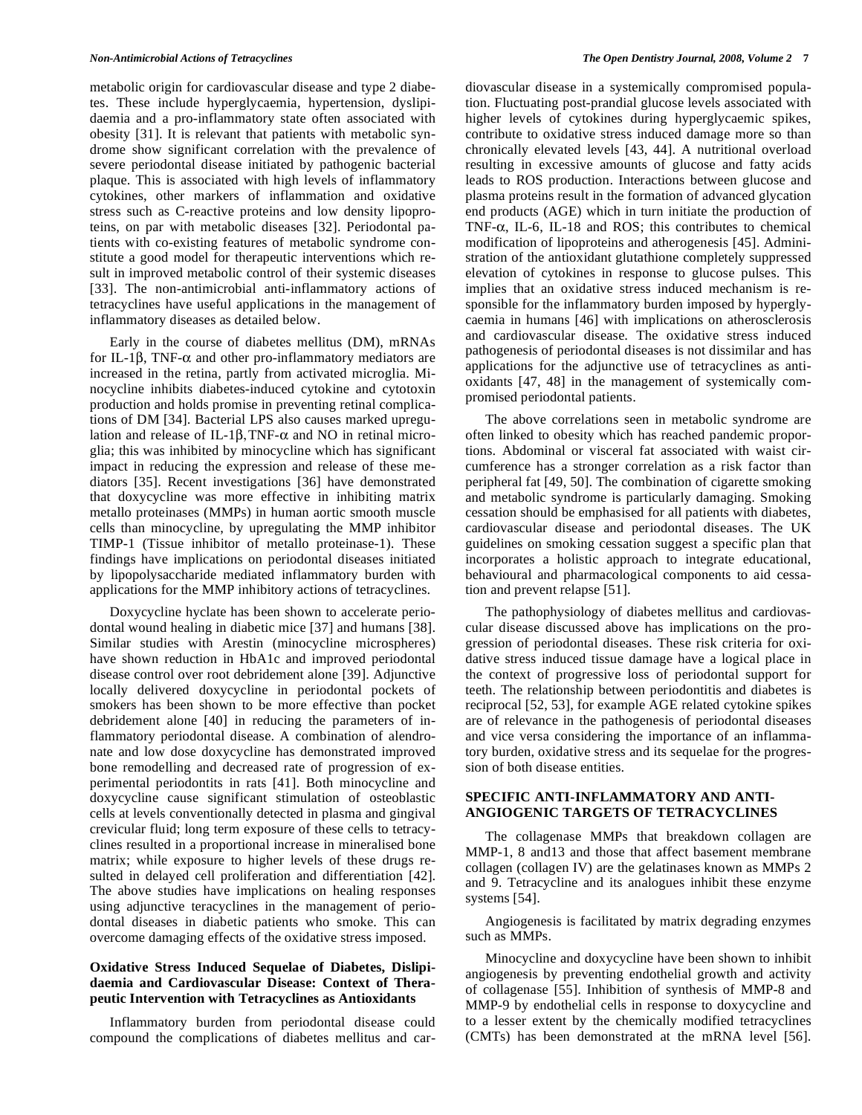metabolic origin for cardiovascular disease and type 2 diabetes. These include hyperglycaemia, hypertension, dyslipidaemia and a pro-inflammatory state often associated with obesity [31]. It is relevant that patients with metabolic syndrome show significant correlation with the prevalence of severe periodontal disease initiated by pathogenic bacterial plaque. This is associated with high levels of inflammatory cytokines, other markers of inflammation and oxidative stress such as C-reactive proteins and low density lipoproteins, on par with metabolic diseases [32]. Periodontal patients with co-existing features of metabolic syndrome constitute a good model for therapeutic interventions which result in improved metabolic control of their systemic diseases [33]. The non-antimicrobial anti-inflammatory actions of tetracyclines have useful applications in the management of inflammatory diseases as detailed below.

 Early in the course of diabetes mellitus (DM), mRNAs for IL-1 $\beta$ , TNF- $\alpha$  and other pro-inflammatory mediators are increased in the retina, partly from activated microglia. Minocycline inhibits diabetes-induced cytokine and cytotoxin production and holds promise in preventing retinal complications of DM [34]. Bacterial LPS also causes marked upregulation and release of IL-1 $\beta$ , TNF- $\alpha$  and NO in retinal microglia; this was inhibited by minocycline which has significant impact in reducing the expression and release of these mediators [35]. Recent investigations [36] have demonstrated that doxycycline was more effective in inhibiting matrix metallo proteinases (MMPs) in human aortic smooth muscle cells than minocycline, by upregulating the MMP inhibitor TIMP-1 (Tissue inhibitor of metallo proteinase-1). These findings have implications on periodontal diseases initiated by lipopolysaccharide mediated inflammatory burden with applications for the MMP inhibitory actions of tetracyclines.

 Doxycycline hyclate has been shown to accelerate periodontal wound healing in diabetic mice [37] and humans [38]. Similar studies with Arestin (minocycline microspheres) have shown reduction in HbA1c and improved periodontal disease control over root debridement alone [39]. Adjunctive locally delivered doxycycline in periodontal pockets of smokers has been shown to be more effective than pocket debridement alone [40] in reducing the parameters of inflammatory periodontal disease. A combination of alendronate and low dose doxycycline has demonstrated improved bone remodelling and decreased rate of progression of experimental periodontits in rats [41]. Both minocycline and doxycycline cause significant stimulation of osteoblastic cells at levels conventionally detected in plasma and gingival crevicular fluid; long term exposure of these cells to tetracyclines resulted in a proportional increase in mineralised bone matrix; while exposure to higher levels of these drugs resulted in delayed cell proliferation and differentiation [42]. The above studies have implications on healing responses using adjunctive teracyclines in the management of periodontal diseases in diabetic patients who smoke. This can overcome damaging effects of the oxidative stress imposed.

# **Oxidative Stress Induced Sequelae of Diabetes, Dislipidaemia and Cardiovascular Disease: Context of Therapeutic Intervention with Tetracyclines as Antioxidants**

 Inflammatory burden from periodontal disease could compound the complications of diabetes mellitus and cardiovascular disease in a systemically compromised population. Fluctuating post-prandial glucose levels associated with higher levels of cytokines during hyperglycaemic spikes, contribute to oxidative stress induced damage more so than chronically elevated levels [43, 44]. A nutritional overload resulting in excessive amounts of glucose and fatty acids leads to ROS production. Interactions between glucose and plasma proteins result in the formation of advanced glycation end products (AGE) which in turn initiate the production of TNF- $\alpha$ , IL-6, IL-18 and ROS; this contributes to chemical modification of lipoproteins and atherogenesis [45]. Administration of the antioxidant glutathione completely suppressed elevation of cytokines in response to glucose pulses. This implies that an oxidative stress induced mechanism is responsible for the inflammatory burden imposed by hyperglycaemia in humans [46] with implications on atherosclerosis and cardiovascular disease. The oxidative stress induced pathogenesis of periodontal diseases is not dissimilar and has applications for the adjunctive use of tetracyclines as antioxidants [47, 48] in the management of systemically compromised periodontal patients.

 The above correlations seen in metabolic syndrome are often linked to obesity which has reached pandemic proportions. Abdominal or visceral fat associated with waist circumference has a stronger correlation as a risk factor than peripheral fat [49, 50]. The combination of cigarette smoking and metabolic syndrome is particularly damaging. Smoking cessation should be emphasised for all patients with diabetes, cardiovascular disease and periodontal diseases. The UK guidelines on smoking cessation suggest a specific plan that incorporates a holistic approach to integrate educational, behavioural and pharmacological components to aid cessation and prevent relapse [51].

 The pathophysiology of diabetes mellitus and cardiovascular disease discussed above has implications on the progression of periodontal diseases. These risk criteria for oxidative stress induced tissue damage have a logical place in the context of progressive loss of periodontal support for teeth. The relationship between periodontitis and diabetes is reciprocal [52, 53], for example AGE related cytokine spikes are of relevance in the pathogenesis of periodontal diseases and vice versa considering the importance of an inflammatory burden, oxidative stress and its sequelae for the progression of both disease entities.

# **SPECIFIC ANTI-INFLAMMATORY AND ANTI-ANGIOGENIC TARGETS OF TETRACYCLINES**

 The collagenase MMPs that breakdown collagen are MMP-1, 8 and13 and those that affect basement membrane collagen (collagen IV) are the gelatinases known as MMPs 2 and 9. Tetracycline and its analogues inhibit these enzyme systems [54].

 Angiogenesis is facilitated by matrix degrading enzymes such as MMPs.

 Minocycline and doxycycline have been shown to inhibit angiogenesis by preventing endothelial growth and activity of collagenase [55]. Inhibition of synthesis of MMP-8 and MMP-9 by endothelial cells in response to doxycycline and to a lesser extent by the chemically modified tetracyclines (CMTs) has been demonstrated at the mRNA level [56].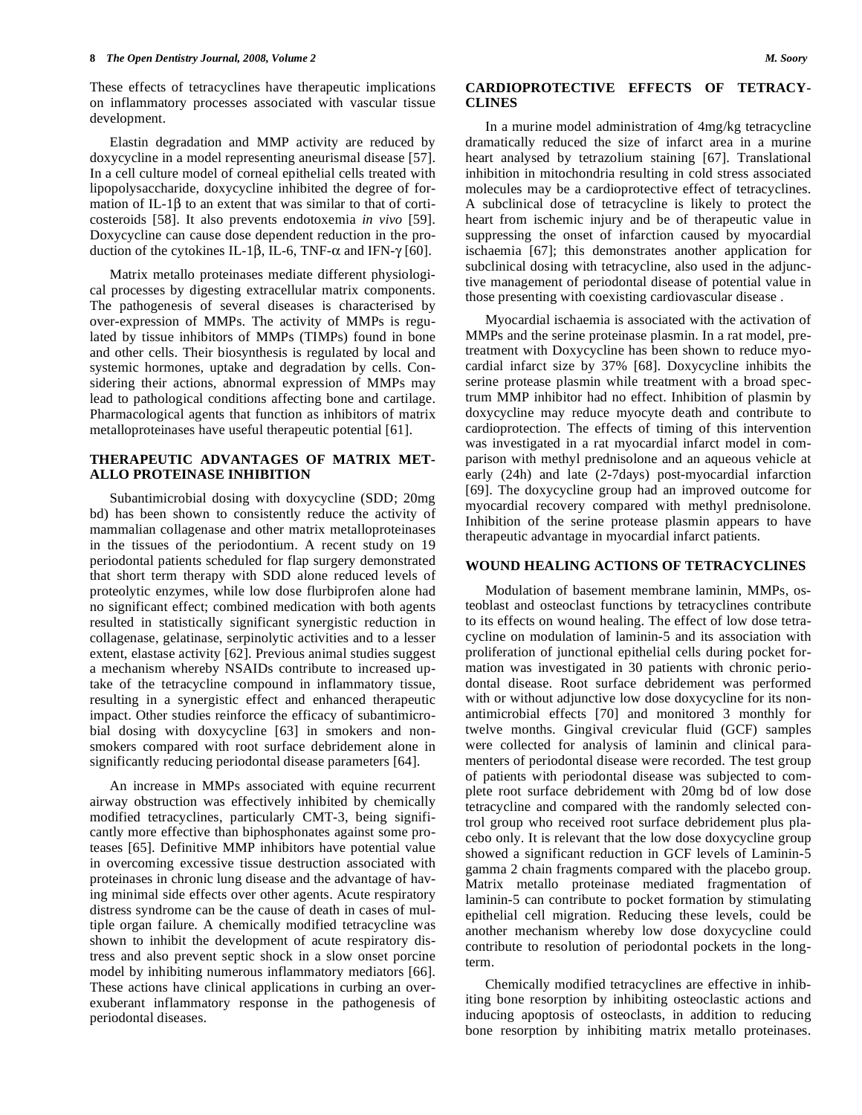These effects of tetracyclines have therapeutic implications on inflammatory processes associated with vascular tissue development.

 Elastin degradation and MMP activity are reduced by doxycycline in a model representing aneurismal disease [57]. In a cell culture model of corneal epithelial cells treated with lipopolysaccharide, doxycycline inhibited the degree of formation of IL-1 $\beta$  to an extent that was similar to that of corticosteroids [58]. It also prevents endotoxemia *in vivo* [59]. Doxycycline can cause dose dependent reduction in the production of the cytokines IL-1 $\beta$ , IL-6, TNF- $\alpha$  and IFN- $\gamma$  [60].

 Matrix metallo proteinases mediate different physiological processes by digesting extracellular matrix components. The pathogenesis of several diseases is characterised by over-expression of MMPs. The activity of MMPs is regulated by tissue inhibitors of MMPs (TIMPs) found in bone and other cells. Their biosynthesis is regulated by local and systemic hormones, uptake and degradation by cells. Considering their actions, abnormal expression of MMPs may lead to pathological conditions affecting bone and cartilage. Pharmacological agents that function as inhibitors of matrix metalloproteinases have useful therapeutic potential [61].

# **THERAPEUTIC ADVANTAGES OF MATRIX MET-ALLO PROTEINASE INHIBITION**

 Subantimicrobial dosing with doxycycline (SDD; 20mg bd) has been shown to consistently reduce the activity of mammalian collagenase and other matrix metalloproteinases in the tissues of the periodontium. A recent study on 19 periodontal patients scheduled for flap surgery demonstrated that short term therapy with SDD alone reduced levels of proteolytic enzymes, while low dose flurbiprofen alone had no significant effect; combined medication with both agents resulted in statistically significant synergistic reduction in collagenase, gelatinase, serpinolytic activities and to a lesser extent, elastase activity [62]. Previous animal studies suggest a mechanism whereby NSAIDs contribute to increased uptake of the tetracycline compound in inflammatory tissue, resulting in a synergistic effect and enhanced therapeutic impact. Other studies reinforce the efficacy of subantimicrobial dosing with doxycycline [63] in smokers and nonsmokers compared with root surface debridement alone in significantly reducing periodontal disease parameters [64].

 An increase in MMPs associated with equine recurrent airway obstruction was effectively inhibited by chemically modified tetracyclines, particularly CMT-3, being significantly more effective than biphosphonates against some proteases [65]. Definitive MMP inhibitors have potential value in overcoming excessive tissue destruction associated with proteinases in chronic lung disease and the advantage of having minimal side effects over other agents. Acute respiratory distress syndrome can be the cause of death in cases of multiple organ failure. A chemically modified tetracycline was shown to inhibit the development of acute respiratory distress and also prevent septic shock in a slow onset porcine model by inhibiting numerous inflammatory mediators [66]. These actions have clinical applications in curbing an overexuberant inflammatory response in the pathogenesis of periodontal diseases.

### **CARDIOPROTECTIVE EFFECTS OF TETRACY-CLINES**

 In a murine model administration of 4mg/kg tetracycline dramatically reduced the size of infarct area in a murine heart analysed by tetrazolium staining [67]. Translational inhibition in mitochondria resulting in cold stress associated molecules may be a cardioprotective effect of tetracyclines. A subclinical dose of tetracycline is likely to protect the heart from ischemic injury and be of therapeutic value in suppressing the onset of infarction caused by myocardial ischaemia [67]; this demonstrates another application for subclinical dosing with tetracycline, also used in the adjunctive management of periodontal disease of potential value in those presenting with coexisting cardiovascular disease .

 Myocardial ischaemia is associated with the activation of MMPs and the serine proteinase plasmin. In a rat model, pretreatment with Doxycycline has been shown to reduce myocardial infarct size by 37% [68]. Doxycycline inhibits the serine protease plasmin while treatment with a broad spectrum MMP inhibitor had no effect. Inhibition of plasmin by doxycycline may reduce myocyte death and contribute to cardioprotection. The effects of timing of this intervention was investigated in a rat myocardial infarct model in comparison with methyl prednisolone and an aqueous vehicle at early (24h) and late (2-7days) post-myocardial infarction [69]. The doxycycline group had an improved outcome for myocardial recovery compared with methyl prednisolone. Inhibition of the serine protease plasmin appears to have therapeutic advantage in myocardial infarct patients.

# **WOUND HEALING ACTIONS OF TETRACYCLINES**

 Modulation of basement membrane laminin, MMPs, osteoblast and osteoclast functions by tetracyclines contribute to its effects on wound healing. The effect of low dose tetracycline on modulation of laminin-5 and its association with proliferation of junctional epithelial cells during pocket formation was investigated in 30 patients with chronic periodontal disease. Root surface debridement was performed with or without adjunctive low dose doxycycline for its nonantimicrobial effects [70] and monitored 3 monthly for twelve months. Gingival crevicular fluid (GCF) samples were collected for analysis of laminin and clinical paramenters of periodontal disease were recorded. The test group of patients with periodontal disease was subjected to complete root surface debridement with 20mg bd of low dose tetracycline and compared with the randomly selected control group who received root surface debridement plus placebo only. It is relevant that the low dose doxycycline group showed a significant reduction in GCF levels of Laminin-5 gamma 2 chain fragments compared with the placebo group. Matrix metallo proteinase mediated fragmentation of laminin-5 can contribute to pocket formation by stimulating epithelial cell migration. Reducing these levels, could be another mechanism whereby low dose doxycycline could contribute to resolution of periodontal pockets in the longterm.

 Chemically modified tetracyclines are effective in inhibiting bone resorption by inhibiting osteoclastic actions and inducing apoptosis of osteoclasts, in addition to reducing bone resorption by inhibiting matrix metallo proteinases.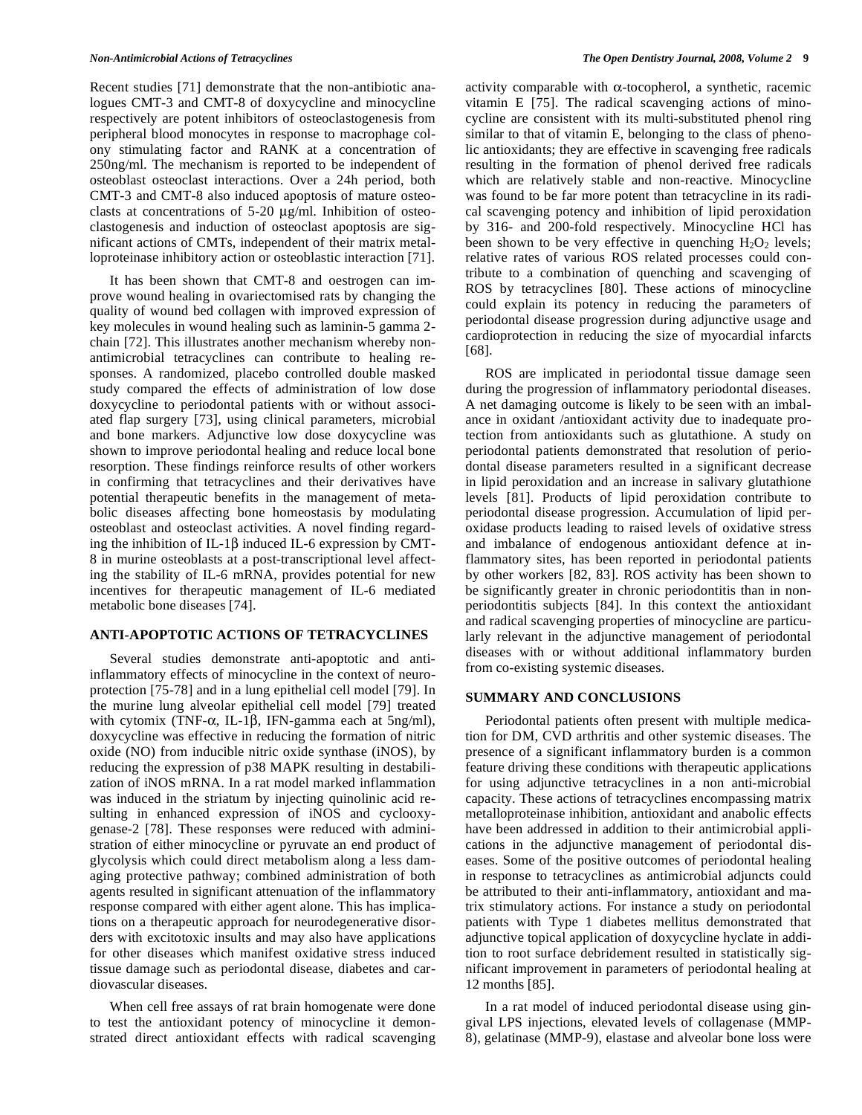Recent studies [71] demonstrate that the non-antibiotic analogues CMT-3 and CMT-8 of doxycycline and minocycline respectively are potent inhibitors of osteoclastogenesis from peripheral blood monocytes in response to macrophage colony stimulating factor and RANK at a concentration of 250ng/ml. The mechanism is reported to be independent of osteoblast osteoclast interactions. Over a 24h period, both CMT-3 and CMT-8 also induced apoptosis of mature osteoclasts at concentrations of 5-20 μg/ml. Inhibition of osteoclastogenesis and induction of osteoclast apoptosis are significant actions of CMTs, independent of their matrix metalloproteinase inhibitory action or osteoblastic interaction [71].

 It has been shown that CMT-8 and oestrogen can improve wound healing in ovariectomised rats by changing the quality of wound bed collagen with improved expression of key molecules in wound healing such as laminin-5 gamma 2 chain [72]. This illustrates another mechanism whereby nonantimicrobial tetracyclines can contribute to healing responses. A randomized, placebo controlled double masked study compared the effects of administration of low dose doxycycline to periodontal patients with or without associated flap surgery [73], using clinical parameters, microbial and bone markers. Adjunctive low dose doxycycline was shown to improve periodontal healing and reduce local bone resorption. These findings reinforce results of other workers in confirming that tetracyclines and their derivatives have potential therapeutic benefits in the management of metabolic diseases affecting bone homeostasis by modulating osteoblast and osteoclast activities. A novel finding regarding the inhibition of IL-1 $\beta$  induced IL-6 expression by CMT-8 in murine osteoblasts at a post-transcriptional level affecting the stability of IL-6 mRNA, provides potential for new incentives for therapeutic management of IL-6 mediated metabolic bone diseases [74].

# **ANTI-APOPTOTIC ACTIONS OF TETRACYCLINES**

 Several studies demonstrate anti-apoptotic and antiinflammatory effects of minocycline in the context of neuroprotection [75-78] and in a lung epithelial cell model [79]. In the murine lung alveolar epithelial cell model [79] treated with cytomix (TNF- $\alpha$ , IL-1 $\beta$ , IFN-gamma each at 5ng/ml), doxycycline was effective in reducing the formation of nitric oxide (NO) from inducible nitric oxide synthase (iNOS), by reducing the expression of p38 MAPK resulting in destabilization of iNOS mRNA. In a rat model marked inflammation was induced in the striatum by injecting quinolinic acid resulting in enhanced expression of iNOS and cyclooxygenase-2 [78]. These responses were reduced with administration of either minocycline or pyruvate an end product of glycolysis which could direct metabolism along a less damaging protective pathway; combined administration of both agents resulted in significant attenuation of the inflammatory response compared with either agent alone. This has implications on a therapeutic approach for neurodegenerative disorders with excitotoxic insults and may also have applications for other diseases which manifest oxidative stress induced tissue damage such as periodontal disease, diabetes and cardiovascular diseases.

 When cell free assays of rat brain homogenate were done to test the antioxidant potency of minocycline it demonstrated direct antioxidant effects with radical scavenging activity comparable with  $\alpha$ -tocopherol, a synthetic, racemic vitamin E [75]. The radical scavenging actions of minocycline are consistent with its multi-substituted phenol ring similar to that of vitamin E, belonging to the class of phenolic antioxidants; they are effective in scavenging free radicals resulting in the formation of phenol derived free radicals which are relatively stable and non-reactive. Minocycline was found to be far more potent than tetracycline in its radical scavenging potency and inhibition of lipid peroxidation by 316- and 200-fold respectively. Minocycline HCl has been shown to be very effective in quenching  $H_2O_2$  levels; relative rates of various ROS related processes could contribute to a combination of quenching and scavenging of ROS by tetracyclines [80]. These actions of minocycline could explain its potency in reducing the parameters of periodontal disease progression during adjunctive usage and cardioprotection in reducing the size of myocardial infarcts [68].

 ROS are implicated in periodontal tissue damage seen during the progression of inflammatory periodontal diseases. A net damaging outcome is likely to be seen with an imbalance in oxidant /antioxidant activity due to inadequate protection from antioxidants such as glutathione. A study on periodontal patients demonstrated that resolution of periodontal disease parameters resulted in a significant decrease in lipid peroxidation and an increase in salivary glutathione levels [81]. Products of lipid peroxidation contribute to periodontal disease progression. Accumulation of lipid peroxidase products leading to raised levels of oxidative stress and imbalance of endogenous antioxidant defence at inflammatory sites, has been reported in periodontal patients by other workers [82, 83]. ROS activity has been shown to be significantly greater in chronic periodontitis than in nonperiodontitis subjects [84]. In this context the antioxidant and radical scavenging properties of minocycline are particularly relevant in the adjunctive management of periodontal diseases with or without additional inflammatory burden from co-existing systemic diseases.

# **SUMMARY AND CONCLUSIONS**

 Periodontal patients often present with multiple medication for DM, CVD arthritis and other systemic diseases. The presence of a significant inflammatory burden is a common feature driving these conditions with therapeutic applications for using adjunctive tetracyclines in a non anti-microbial capacity. These actions of tetracyclines encompassing matrix metalloproteinase inhibition, antioxidant and anabolic effects have been addressed in addition to their antimicrobial applications in the adjunctive management of periodontal diseases. Some of the positive outcomes of periodontal healing in response to tetracyclines as antimicrobial adjuncts could be attributed to their anti-inflammatory, antioxidant and matrix stimulatory actions. For instance a study on periodontal patients with Type 1 diabetes mellitus demonstrated that adjunctive topical application of doxycycline hyclate in addition to root surface debridement resulted in statistically significant improvement in parameters of periodontal healing at 12 months [85].

 In a rat model of induced periodontal disease using gingival LPS injections, elevated levels of collagenase (MMP-8), gelatinase (MMP-9), elastase and alveolar bone loss were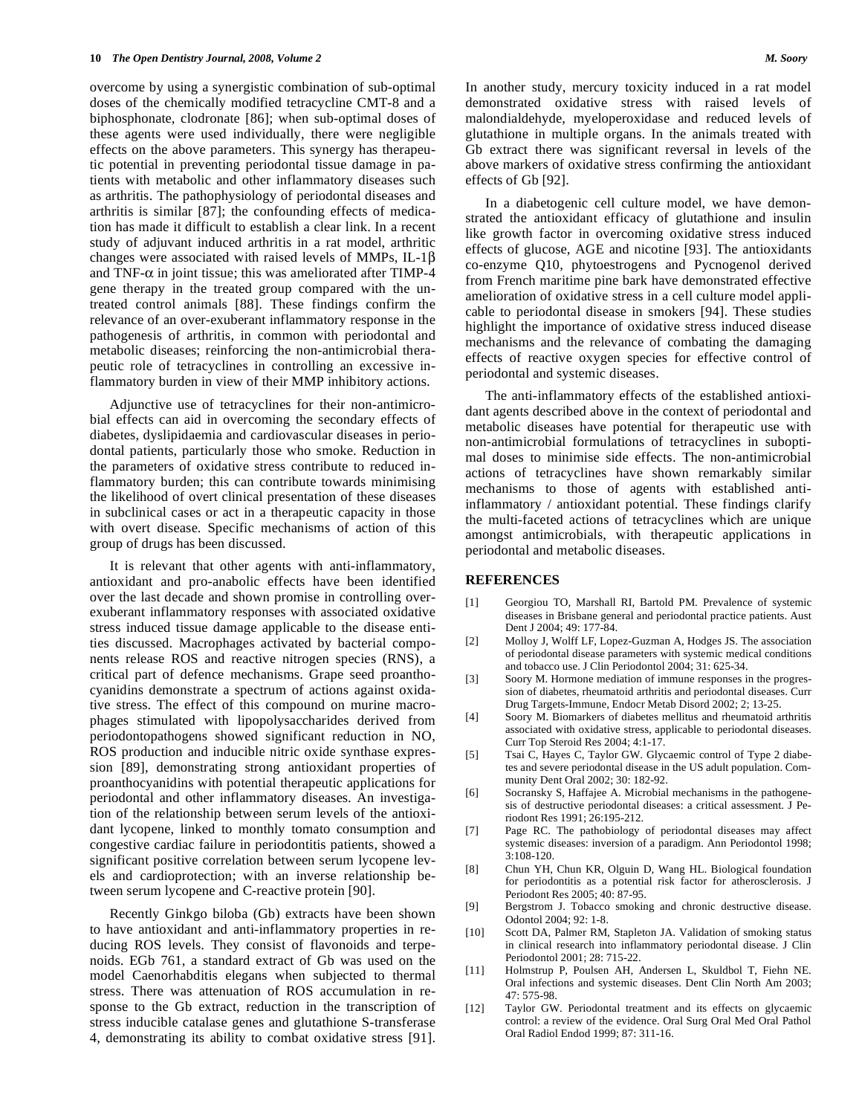overcome by using a synergistic combination of sub-optimal doses of the chemically modified tetracycline CMT-8 and a biphosphonate, clodronate [86]; when sub-optimal doses of these agents were used individually, there were negligible effects on the above parameters. This synergy has therapeutic potential in preventing periodontal tissue damage in patients with metabolic and other inflammatory diseases such as arthritis. The pathophysiology of periodontal diseases and arthritis is similar [87]; the confounding effects of medication has made it difficult to establish a clear link. In a recent study of adjuvant induced arthritis in a rat model, arthritic changes were associated with raised levels of MMPs, IL-1 $\beta$ and TNF- $\alpha$  in joint tissue; this was ameliorated after TIMP-4 gene therapy in the treated group compared with the untreated control animals [88]. These findings confirm the relevance of an over-exuberant inflammatory response in the pathogenesis of arthritis, in common with periodontal and metabolic diseases; reinforcing the non-antimicrobial therapeutic role of tetracyclines in controlling an excessive inflammatory burden in view of their MMP inhibitory actions.

 Adjunctive use of tetracyclines for their non-antimicrobial effects can aid in overcoming the secondary effects of diabetes, dyslipidaemia and cardiovascular diseases in periodontal patients, particularly those who smoke. Reduction in the parameters of oxidative stress contribute to reduced inflammatory burden; this can contribute towards minimising the likelihood of overt clinical presentation of these diseases in subclinical cases or act in a therapeutic capacity in those with overt disease. Specific mechanisms of action of this group of drugs has been discussed.

 It is relevant that other agents with anti-inflammatory, antioxidant and pro-anabolic effects have been identified over the last decade and shown promise in controlling overexuberant inflammatory responses with associated oxidative stress induced tissue damage applicable to the disease entities discussed. Macrophages activated by bacterial components release ROS and reactive nitrogen species (RNS), a critical part of defence mechanisms. Grape seed proanthocyanidins demonstrate a spectrum of actions against oxidative stress. The effect of this compound on murine macrophages stimulated with lipopolysaccharides derived from periodontopathogens showed significant reduction in NO, ROS production and inducible nitric oxide synthase expression [89], demonstrating strong antioxidant properties of proanthocyanidins with potential therapeutic applications for periodontal and other inflammatory diseases. An investigation of the relationship between serum levels of the antioxidant lycopene, linked to monthly tomato consumption and congestive cardiac failure in periodontitis patients, showed a significant positive correlation between serum lycopene levels and cardioprotection; with an inverse relationship between serum lycopene and C-reactive protein [90].

 Recently Ginkgo biloba (Gb) extracts have been shown to have antioxidant and anti-inflammatory properties in reducing ROS levels. They consist of flavonoids and terpenoids. EGb 761, a standard extract of Gb was used on the model Caenorhabditis elegans when subjected to thermal stress. There was attenuation of ROS accumulation in response to the Gb extract, reduction in the transcription of stress inducible catalase genes and glutathione S-transferase 4, demonstrating its ability to combat oxidative stress [91].

In another study, mercury toxicity induced in a rat model demonstrated oxidative stress with raised levels of malondialdehyde, myeloperoxidase and reduced levels of glutathione in multiple organs. In the animals treated with Gb extract there was significant reversal in levels of the above markers of oxidative stress confirming the antioxidant effects of Gb [92].

 In a diabetogenic cell culture model, we have demonstrated the antioxidant efficacy of glutathione and insulin like growth factor in overcoming oxidative stress induced effects of glucose, AGE and nicotine [93]. The antioxidants co-enzyme Q10, phytoestrogens and Pycnogenol derived from French maritime pine bark have demonstrated effective amelioration of oxidative stress in a cell culture model applicable to periodontal disease in smokers [94]. These studies highlight the importance of oxidative stress induced disease mechanisms and the relevance of combating the damaging effects of reactive oxygen species for effective control of periodontal and systemic diseases.

 The anti-inflammatory effects of the established antioxidant agents described above in the context of periodontal and metabolic diseases have potential for therapeutic use with non-antimicrobial formulations of tetracyclines in suboptimal doses to minimise side effects. The non-antimicrobial actions of tetracyclines have shown remarkably similar mechanisms to those of agents with established antiinflammatory / antioxidant potential. These findings clarify the multi-faceted actions of tetracyclines which are unique amongst antimicrobials, with therapeutic applications in periodontal and metabolic diseases.

#### **REFERENCES**

- [1] Georgiou TO, Marshall RI, Bartold PM. Prevalence of systemic diseases in Brisbane general and periodontal practice patients. Aust Dent J 2004; 49: 177-84.
- [2] Molloy J, Wolff LF, Lopez-Guzman A, Hodges JS. The association of periodontal disease parameters with systemic medical conditions and tobacco use. J Clin Periodontol 2004; 31: 625-34.
- [3] Soory M. Hormone mediation of immune responses in the progression of diabetes, rheumatoid arthritis and periodontal diseases. Curr Drug Targets-Immune, Endocr Metab Disord 2002; 2; 13-25.
- [4] Soory M. Biomarkers of diabetes mellitus and rheumatoid arthritis associated with oxidative stress, applicable to periodontal diseases. Curr Top Steroid Res 2004; 4:1-17.
- [5] Tsai C, Hayes C, Taylor GW. Glycaemic control of Type 2 diabetes and severe periodontal disease in the US adult population. Community Dent Oral 2002; 30: 182-92.
- [6] Socransky S, Haffajee A. Microbial mechanisms in the pathogenesis of destructive periodontal diseases: a critical assessment. J Periodont Res 1991; 26:195-212.
- [7] Page RC. The pathobiology of periodontal diseases may affect systemic diseases: inversion of a paradigm. Ann Periodontol 1998; 3:108-120.
- [8] Chun YH, Chun KR, Olguin D, Wang HL. Biological foundation for periodontitis as a potential risk factor for atherosclerosis. J Periodont Res 2005; 40: 87-95.
- [9] Bergstrom J. Tobacco smoking and chronic destructive disease. Odontol 2004; 92: 1-8.
- [10] Scott DA, Palmer RM, Stapleton JA. Validation of smoking status in clinical research into inflammatory periodontal disease. J Clin Periodontol 2001; 28: 715-22.
- [11] Holmstrup P, Poulsen AH, Andersen L, Skuldbol T, Fiehn NE. Oral infections and systemic diseases. Dent Clin North Am 2003; 47: 575-98.
- [12] Taylor GW. Periodontal treatment and its effects on glycaemic control: a review of the evidence. Oral Surg Oral Med Oral Pathol Oral Radiol Endod 1999; 87: 311-16.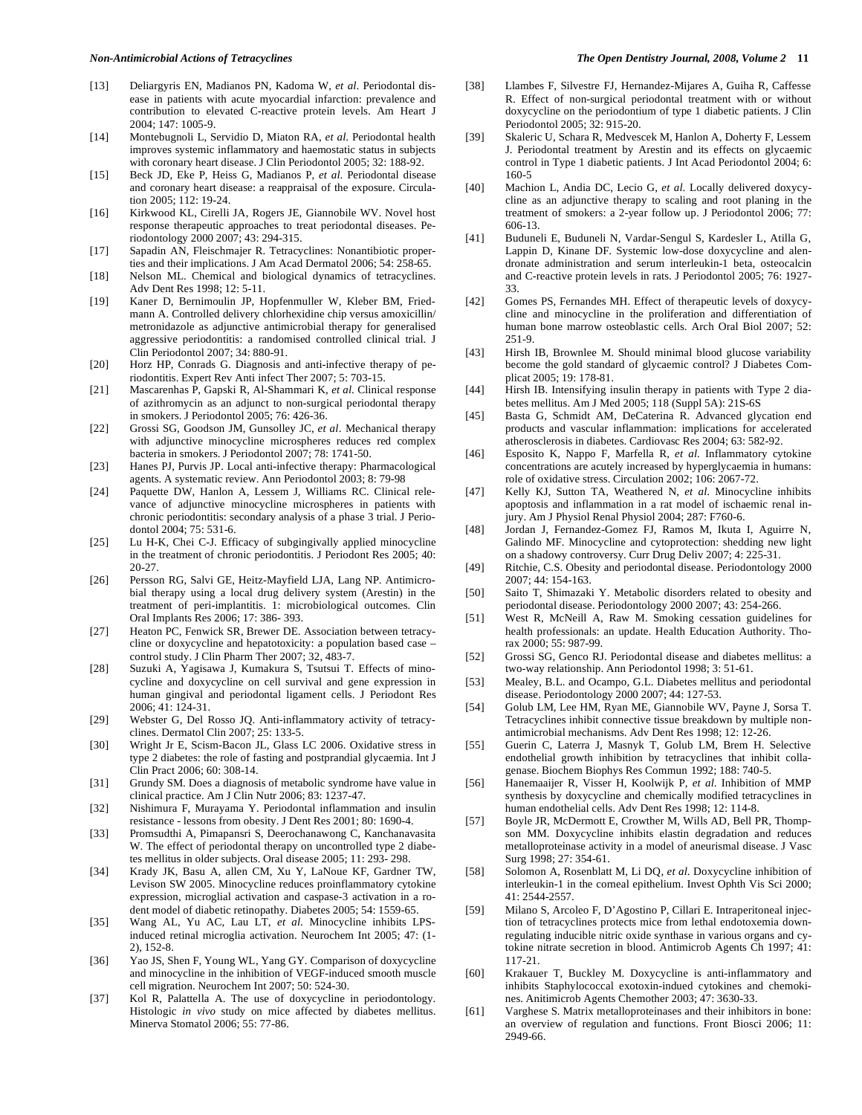- [13] Deliargyris EN, Madianos PN, Kadoma W, *et al*. Periodontal disease in patients with acute myocardial infarction: prevalence and contribution to elevated C-reactive protein levels. Am Heart J 2004; 147: 1005-9.
- [14] Montebugnoli L, Servidio D, Miaton RA, *et al*. Periodontal health improves systemic inflammatory and haemostatic status in subjects with coronary heart disease. J Clin Periodontol 2005; 32: 188-92.
- [15] Beck JD, Eke P, Heiss G, Madianos P, *et al*. Periodontal disease and coronary heart disease: a reappraisal of the exposure. Circulation 2005; 112: 19-24.
- [16] Kirkwood KL, Cirelli JA, Rogers JE, Giannobile WV. Novel host response therapeutic approaches to treat periodontal diseases. Periodontology 2000 2007; 43: 294-315.
- [17] Sapadin AN, Fleischmajer R. Tetracyclines: Nonantibiotic properties and their implications. J Am Acad Dermatol 2006; 54: 258-65.
- [18] Nelson ML. Chemical and biological dynamics of tetracyclines. Adv Dent Res 1998; 12: 5-11.
- [19] Kaner D, Bernimoulin JP, Hopfenmuller W, Kleber BM, Friedmann A. Controlled delivery chlorhexidine chip versus amoxicillin/ metronidazole as adjunctive antimicrobial therapy for generalised aggressive periodontitis: a randomised controlled clinical trial. J Clin Periodontol 2007; 34: 880-91.
- [20] Horz HP, Conrads G. Diagnosis and anti-infective therapy of periodontitis. Expert Rev Anti infect Ther 2007; 5: 703-15.
- [21] Mascarenhas P, Gapski R, Al-Shammari K, *et al*. Clinical response of azithromycin as an adjunct to non-surgical periodontal therapy in smokers. J Periodontol 2005; 76: 426-36.
- [22] Grossi SG, Goodson JM, Gunsolley JC, *et al*. Mechanical therapy with adjunctive minocycline microspheres reduces red complex bacteria in smokers. J Periodontol 2007; 78: 1741-50.
- [23] Hanes PJ, Purvis JP. Local anti-infective therapy: Pharmacological agents. A systematic review. Ann Periodontol 2003; 8: 79-98
- [24] Paquette DW, Hanlon A, Lessem J, Williams RC. Clinical relevance of adjunctive minocycline microspheres in patients with chronic periodontitis: secondary analysis of a phase 3 trial. J Periodontol 2004; 75: 531-6.
- [25] Lu H-K, Chei C-J. Efficacy of subgingivally applied minocycline in the treatment of chronic periodontitis. J Periodont Res 2005; 40: 20-27.
- [26] Persson RG, Salvi GE, Heitz-Mayfield LJA, Lang NP. Antimicrobial therapy using a local drug delivery system (Arestin) in the treatment of peri-implantitis. 1: microbiological outcomes. Clin Oral Implants Res 2006; 17: 386- 393.
- [27] Heaton PC, Fenwick SR, Brewer DE. Association between tetracycline or doxycycline and hepatotoxicity: a population based case – control study. J Clin Pharm Ther 2007; 32, 483-7.
- [28] Suzuki A, Yagisawa J, Kumakura S, Tsutsui T. Effects of minocycline and doxycycline on cell survival and gene expression in human gingival and periodontal ligament cells. J Periodont Res 2006; 41: 124-31.
- [29] Webster G, Del Rosso JQ. Anti-inflammatory activity of tetracyclines. Dermatol Clin 2007; 25: 133-5.
- [30] Wright Jr E, Scism-Bacon JL, Glass LC 2006. Oxidative stress in type 2 diabetes: the role of fasting and postprandial glycaemia. Int J Clin Pract 2006; 60: 308-14.
- [31] Grundy SM. Does a diagnosis of metabolic syndrome have value in clinical practice. Am J Clin Nutr 2006; 83: 1237-47.
- [32] Nishimura F, Murayama Y. Periodontal inflammation and insulin resistance - lessons from obesity. J Dent Res 2001; 80: 1690-4.
- [33] Promsudthi A, Pimapansri S, Deerochanawong C, Kanchanavasita W. The effect of periodontal therapy on uncontrolled type 2 diabetes mellitus in older subjects. Oral disease 2005; 11: 293- 298.
- [34] Krady JK, Basu A, allen CM, Xu Y, LaNoue KF, Gardner TW, Levison SW 2005. Minocycline reduces proinflammatory cytokine expression, microglial activation and caspase-3 activation in a rodent model of diabetic retinopathy. Diabetes 2005; 54: 1559-65.
- [35] Wang AL, Yu AC, Lau LT, *et al*. Minocycline inhibits LPSinduced retinal microglia activation. Neurochem Int 2005; 47: (1- 2), 152-8.
- [36] Yao JS, Shen F, Young WL, Yang GY. Comparison of doxycycline and minocycline in the inhibition of VEGF-induced smooth muscle cell migration. Neurochem Int 2007; 50: 524-30.
- [37] Kol R, Palattella A. The use of doxycycline in periodontology. Histologic *in vivo* study on mice affected by diabetes mellitus. Minerva Stomatol 2006; 55: 77-86.
- [38] Llambes F, Silvestre FJ, Hernandez-Mijares A, Guiha R, Caffesse R. Effect of non-surgical periodontal treatment with or without doxycycline on the periodontium of type 1 diabetic patients. J Clin Periodontol 2005; 32: 915-20.
- [39] Skaleric U, Schara R, Medvescek M, Hanlon A, Doherty F, Lessem J. Periodontal treatment by Arestin and its effects on glycaemic control in Type 1 diabetic patients. J Int Acad Periodontol 2004; 6: 160-5
- [40] Machion L, Andia DC, Lecio G, *et al*. Locally delivered doxycycline as an adjunctive therapy to scaling and root planing in the treatment of smokers: a 2-year follow up. J Periodontol 2006; 77: 606-13.
- [41] Buduneli E, Buduneli N, Vardar-Sengul S, Kardesler L, Atilla G, Lappin D, Kinane DF. Systemic low-dose doxycycline and alendronate administration and serum interleukin-1 beta, osteocalcin and C-reactive protein levels in rats. J Periodontol 2005; 76: 1927- 33.
- [42] Gomes PS, Fernandes MH. Effect of therapeutic levels of doxycycline and minocycline in the proliferation and differentiation of human bone marrow osteoblastic cells. Arch Oral Biol 2007; 52: 251-9.
- [43] Hirsh IB, Brownlee M. Should minimal blood glucose variability become the gold standard of glycaemic control? J Diabetes Complicat 2005; 19: 178-81.
- [44] Hirsh IB. Intensifying insulin therapy in patients with Type 2 diabetes mellitus. Am J Med 2005; 118 (Suppl 5A): 21S-6S
- [45] Basta G, Schmidt AM, DeCaterina R. Advanced glycation end products and vascular inflammation: implications for accelerated atherosclerosis in diabetes. Cardiovasc Res 2004; 63: 582-92.
- [46] Esposito K, Nappo F, Marfella R, *et al*. Inflammatory cytokine concentrations are acutely increased by hyperglycaemia in humans: role of oxidative stress. Circulation 2002; 106: 2067-72.
- [47] Kelly KJ, Sutton TA, Weathered N, *et al*. Minocycline inhibits apoptosis and inflammation in a rat model of ischaemic renal injury. Am J Physiol Renal Physiol 2004; 287: F760-6.
- [48] Jordan J, Fernandez-Gomez FJ, Ramos M, Ikuta I, Aguirre N, Galindo MF. Minocycline and cytoprotection: shedding new light on a shadowy controversy. Curr Drug Deliv 2007; 4: 225-31.
- [49] Ritchie, C.S. Obesity and periodontal disease. Periodontology 2000 2007; 44: 154-163.
- [50] Saito T, Shimazaki Y. Metabolic disorders related to obesity and periodontal disease. Periodontology 2000 2007; 43: 254-266.
- [51] West R, McNeill A, Raw M. Smoking cessation guidelines for health professionals: an update. Health Education Authority. Thorax 2000; 55: 987-99.
- [52] Grossi SG, Genco RJ. Periodontal disease and diabetes mellitus: a two-way relationship. Ann Periodontol 1998; 3: 51-61.
- [53] Mealey, B.L. and Ocampo, G.L. Diabetes mellitus and periodontal disease. Periodontology 2000 2007; 44: 127-53.
- [54] Golub LM, Lee HM, Ryan ME, Giannobile WV, Payne J, Sorsa T. Tetracyclines inhibit connective tissue breakdown by multiple nonantimicrobial mechanisms. Adv Dent Res 1998; 12: 12-26.
- [55] Guerin C, Laterra J, Masnyk T, Golub LM, Brem H. Selective endothelial growth inhibition by tetracyclines that inhibit collagenase. Biochem Biophys Res Commun 1992; 188: 740-5.
- [56] Hanemaaijer R, Visser H, Koolwijk P, *et al*. Inhibition of MMP synthesis by doxycycline and chemically modified tetracyclines in human endothelial cells. Adv Dent Res 1998; 12: 114-8.
- [57] Boyle JR, McDermott E, Crowther M, Wills AD, Bell PR, Thompson MM. Doxycycline inhibits elastin degradation and reduces metalloproteinase activity in a model of aneurismal disease. J Vasc Surg 1998; 27: 354-61.
- [58] Solomon A, Rosenblatt M, Li DQ, *et al*. Doxycycline inhibition of interleukin-1 in the corneal epithelium. Invest Ophth Vis Sci 2000; 41: 2544-2557.
- [59] Milano S, Arcoleo F, D'Agostino P, Cillari E. Intraperitoneal injection of tetracyclines protects mice from lethal endotoxemia downregulating inducible nitric oxide synthase in various organs and cytokine nitrate secretion in blood. Antimicrob Agents Ch 1997; 41: 117-21.
- [60] Krakauer T, Buckley M. Doxycycline is anti-inflammatory and inhibits Staphylococcal exotoxin-indued cytokines and chemokines. Anitimicrob Agents Chemother 2003; 47: 3630-33.
- [61] Varghese S. Matrix metalloproteinases and their inhibitors in bone: an overview of regulation and functions. Front Biosci 2006; 11: 2949-66.